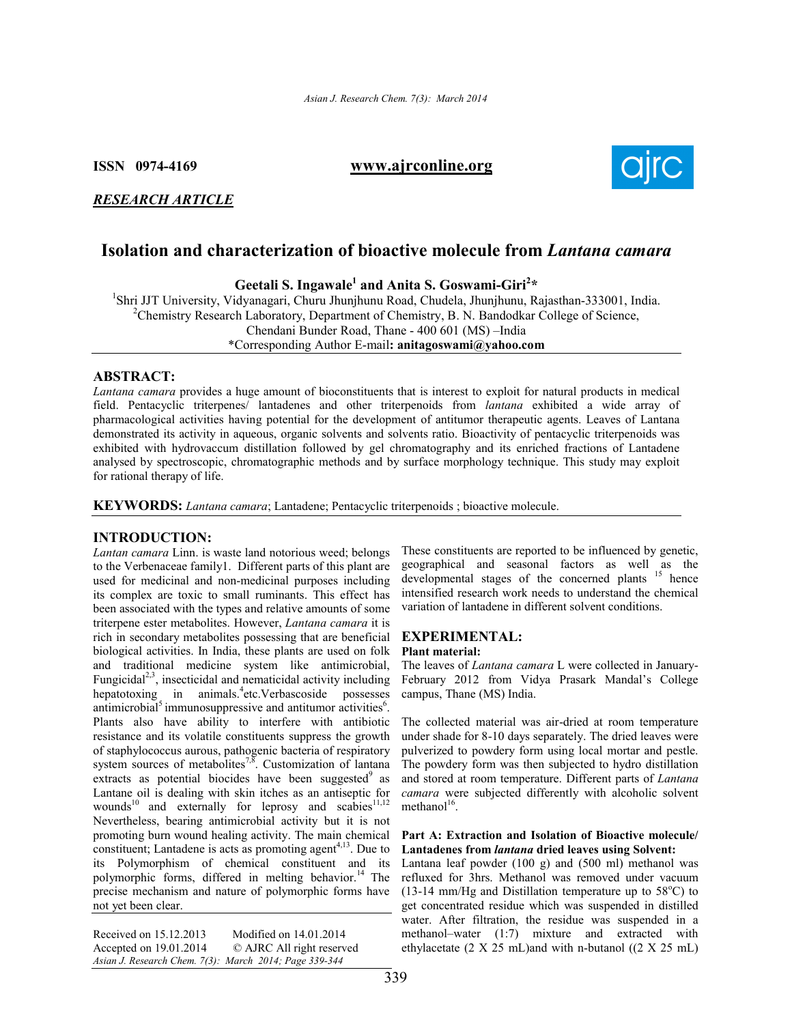## ISSN 0974-4169 www.ajrconline.org



## *RESEARCH ARTICLE*

# Isolation and characterization of bioactive molecule from *Lantana camara*

Geetali S. Ingawale<sup>1</sup> and Anita S. Goswami-Giri<sup>2\*</sup> **Geetali S. Ingawale<sup>1</sup> and Anita S. Goswami-Giri<sup>2\*</sup>**<br><sup>1</sup>Shri UT University Vidyonegeri Churu Ihunihunu Beed Chudele Ihunihunu B

Shri JJT University, Vidyanagari, Churu Jhunjhunu Road, Chudela, Jhunjhunu, Rajasthan-333001, India.<br><sup>2</sup>Chamistry Research Laberstony, Department of Chamistry, B. N. Bandadkar Callage of Sajance. <sup>2</sup> Chemistry Research Laboratory, Department of Chemistry, B. N. Bandodkar College of Science, Chendani Bunder Road, Thane - 400 601 (MS) –India \*Corresponding Author E-mail: anitagoswami@yahoo.com

#### ABSTRACT:

*Lantana camara* provides a huge amount of bioconstituents that is interest to exploit for natural products in medical field. Pentacyclic triterpenes/ lantadenes and other triterpenoids from *lantana* exhibited a wide array of pharmacological activities having potential for the development of antitumor therapeutic agents. Leaves of Lantana demonstrated its activity in aqueous, organic solvents and solvents ratio. Bioactivity of pentacyclic triterpenoids was exhibited with hydrovaccum distillation followed by gel chromatography and its enriched fractions of Lantadene analysed by spectroscopic, chromatographic methods and by surface morphology technique. This study may exploit for rational therapy of life.

KEYWORDS: *Lantana camara*; Lantadene; Pentacyclic triterpenoids ; bioactive molecule.

#### INTRODUCTION:

*Lantan camara* Linn. is waste land notorious weed; belongs to the Verbenaceae family1. Different parts of this plant are used for medicinal and non-medicinal purposes including its complex are toxic to small ruminants. This effect has been associated with the types and relative amounts of some triterpene ester metabolites. However, *Lantana camara* it is rich in secondary metabolites possessing that are beneficial biological activities. In India, these plants are used on folk and traditional medicine system like antimicrobial, Fungicidal<sup>2,3</sup>, insecticidal and nematicidal activity including hepatotoxing in animals.<sup>4</sup> etc.Verbascoside possesses antimicrobial<sup>5</sup> immunosuppressive and antitumor activities<sup>6</sup>. Plants also have ability to interfere with antibiotic resistance and its volatile constituents suppress the growth of staphylococcus aurous, pathogenic bacteria of respiratory system sources of metabolites<sup>7,8</sup>. Customization of lantana extracts as potential biocides have been suggested<sup>9</sup> as Lantane oil is dealing with skin itches as an antiseptic for wounds<sup>10</sup> and externally for leprosy and scabies<sup>11,12</sup> Nevertheless, bearing antimicrobial activity but it is not promoting burn wound healing activity. The main chemical constituent; Lantadene is acts as promoting agent $4,13$ . Due to its Polymorphism of chemical constituent and its polymorphic forms, differed in melting behavior.<sup>14</sup> The precise mechanism and nature of polymorphic forms have not yet been clear.

| Received on 15.12.2013                                 | Modified on 14.01.2014    |
|--------------------------------------------------------|---------------------------|
| Accepted on 19.01.2014                                 | © AJRC All right reserved |
| Asian J. Research Chem. 7(3): March 2014; Page 339-344 |                           |

These constituents are reported to be influenced by genetic, geographical and seasonal factors as well as the developmental stages of the concerned plants <sup>15</sup> hence intensified research work needs to understand the chemical variation of lantadene in different solvent conditions.

#### EXPERIMENTAL: Plant material:

The leaves of *Lantana camara* L were collected in January-February 2012 from Vidya Prasark Mandal's College campus, Thane (MS) India.

The collected material was air-dried at room temperature under shade for 8-10 days separately. The dried leaves were pulverized to powdery form using local mortar and pestle. The powdery form was then subjected to hydro distillation and stored at room temperature. Different parts of *Lantana camara* were subjected differently with alcoholic solvent methanol $16$ .

#### Part A: Extraction and Isolation of Bioactive molecule/ Lantadenes from *lantana* dried leaves using Solvent:

Lantana leaf powder (100 g) and (500 ml) methanol was refluxed for 3hrs. Methanol was removed under vacuum  $(13-14 \text{ mm/Hg}$  and Distillation temperature up to  $58^{\circ}$ C) to get concentrated residue which was suspended in distilled water. After filtration, the residue was suspended in a methanol–water (1:7) mixture and extracted with ethylacetate (2 X 25 mL)and with n-butanol ((2 X 25 mL)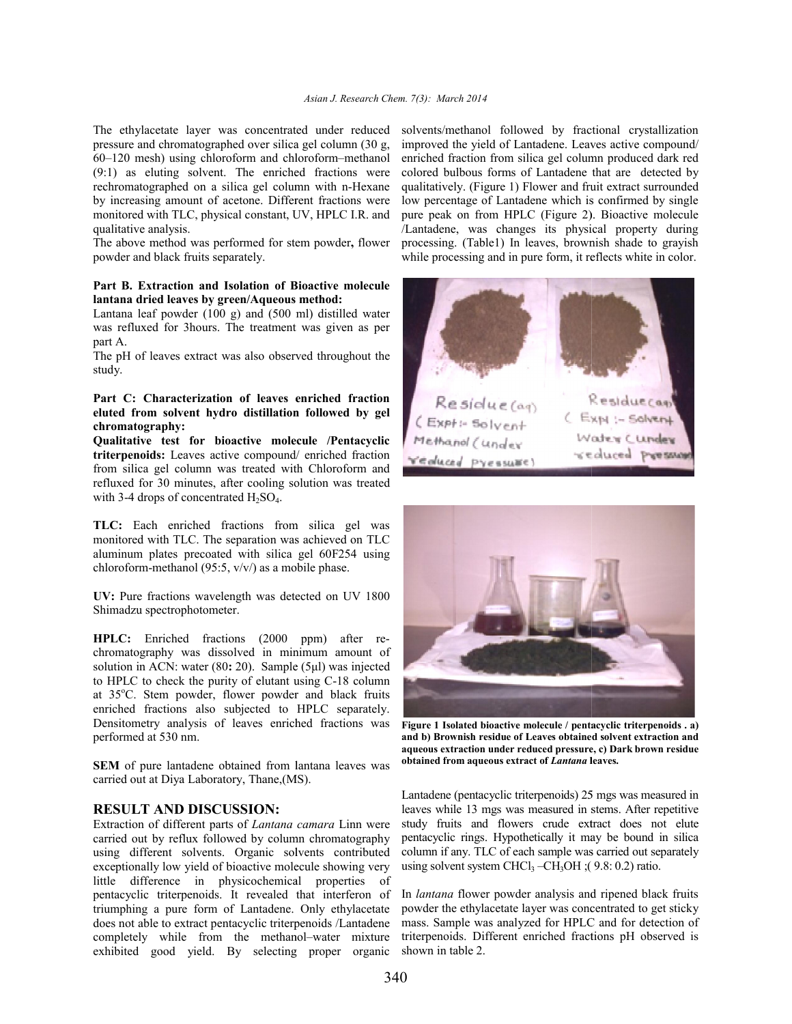The ethylacetate layer was concentrated under reduced pressure and chromatographed over silica gel column (30 g, 60–120 mesh) using chloroform and chloroform (9:1) as eluting solvent. The enriched fractions were rechromatographed on a silica gel column with n n-Hexane by increasing amount of acetone. Different fractions were monitored with TLC, physical constant, UV, HPLC I.R. and qualitative analysis. ethylacetate layer was concentrated under reduced<br>sure and chromatographed over silica gel column (30 g,<br>120 mesh) using chloroform and chloroform–methanol

The above method was performed for stem powder, flower powder and black fruits separately.

#### Part B. Extraction and Isolation of Bioactive molecule lantana dried leaves by green/Aqueous method:

Lantana leaf powder (100 g) and (500 ml) distilled water was refluxed for 3hours. The treatment was given as per part A.

The pH of leaves extract was also observed throughout the study.

#### Part C: Characterization of leaves enriched fraction eluted from solvent hydro distillation followed by gel chromatography:

Qualitative test for bioactive molecule /Pentacyclic triterpenoids: Leaves active compound/ enriched fraction from silica gel column was treated with Chloroform and refluxed for 30 minutes, after cooling solution was treated with 3-4 drops of concentrated  $H_2SO_4$ .

TLC: Each enriched fractions from silica gel was monitored with TLC. The separation was achieved on TLC aluminum plates precoated with silica gel 60F254 using chloroform-methanol (95:5, v/v/) as a mobile phase. gel column was treated with Chloroform and<br>30 minutes, after cooling solution was treated<br>pps of concentrated  $H_2SO_4$ .<br>h enriched fractions from silica gel was<br>with TLC. The separation was achieved on TLC<br>blates precoate

UV: Pure fractions wavelength was detected on UV 1800 Shimadzu spectrophotometer.

HPLC: Enriched fractions (2000 ppm) after re chromatography was dissolved in minimum amount of solution in ACN: water (80: 20). Sample (5μl) was injected to HPLC to check the purity of elutant using C C-18 column at 35°C. Stem powder, flower powder and black fruits enriched fractions also subjected to HPLC separately. Densitometry analysis of leaves enriched fractions was performed at 530 nm.

SEM of pure lantadene obtained from lantana leaves was carried out at Diya Laboratory, Thane,(MS). ,

#### RESULT AND DISCUSSION:

Extraction of different parts of *Lantana camara* Linn were carried out by reflux followed by column chromatography using different solvents. Organic solvents contributed exceptionally low yield of bioactive molecule showing very little difference in physicochemical properties of pentacyclic triterpenoids. It revealed that interferon of triumphing a pure form of Lantadene. Only ethylacetate does not able to extract pentacyclic triterpenoids /Lantadene little difference in physicochemical properties of<br>pentacyclic triterpenoids. It revealed that interferon of<br>triumphing a pure form of Lantadene. Only ethylacetate<br>does not able to extract pentacyclic triterpenoids /Lantad exhibited good yield. By selecting proper organic

solvents/methanol followed by fractional crystallization improved the yield of Lantadene. Leaves active compound/ enriched fraction from silica gel column produced dark red colored bulbous forms of Lantadene that are detected by qualitatively. (Figure 1) Flower and fruit extract surrounded low percentage of Lantadene which is confirmed by single pure peak on from HPLC (Figure 2). Bioactive molecule /Lantadene, was changes its physical property during low percentage of Lantadene which is confirmed by single<br>pure peak on from HPLC (Figure 2). Bioactive molecule<br>/Lantadene, was changes its physical property during<br>processing. (Table1) In leaves, brownish shade to grayish while processing and in pure form, it reflects white in color.





Figure 1 Isolated bioactive molecule / pentacyclic triterpenoids . a) and b) Brownish residue of Leaves obtained solvent extraction and aqueous extraction under reduced pressure, c) Dark brown residue aqueous extraction under reduced pressure, c) D:<br>obtained from aqueous extract of *Lantana* leaves.

Lantadene (pentacyclic triterpenoids) 25 mgs was measured in leaves while 13 mgs was measured in stems. After repetitive study fruits and flowers crude extract does not elute pentacyclic rings. Hypothetically it may be bound in silica column if any. TLC of each sample was carried out separately using solvent system CHCl<sub>3</sub> – CH<sub>3</sub>OH ;( $9.8: 0.2$ ) ratio. leaves while 13 mgs was measured in stems. After repetitive study fruits and flowers crude extract does not elute pentacyclic rings. Hypothetically it may be bound in silica column if any. TLC of each sample was carried ou

In *lantana* flower powder analysis and ripened black fruits powder the ethylacetate layer was concentrated to get sticky mass. Sample was analyzed for HPLC and for de triterpenoids. Different enriched fractions pH observed is shown in table 2.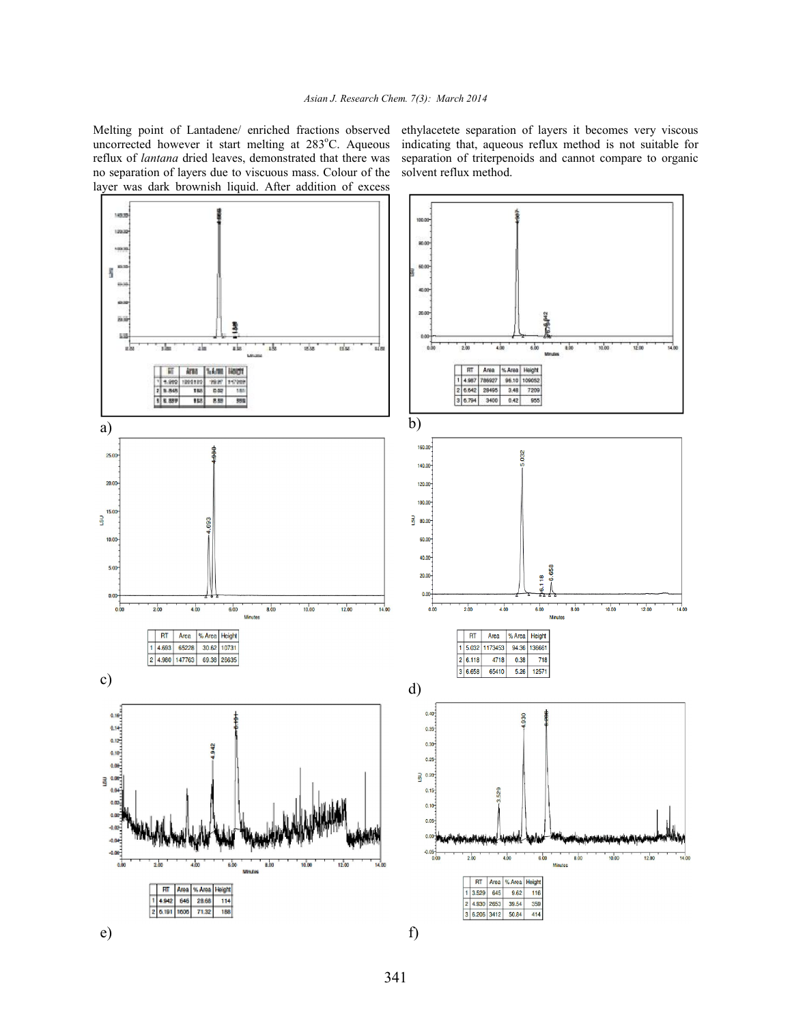Melting point of Lantadene/ enriched fractions observed uncorrected however it start melting at 283°C. Aqueous reflux of *lantana* dried leaves, demonstrated that there was no separation of layers due to viscuous mass. Colour of the layer was dark brownish liquid. After addition of excess

ethylacetete separation of layers it becomes very viscous indicating that, aqueous reflux method is not suitable for separation of triterpenoids and cannot compare to organic solvent reflux method.

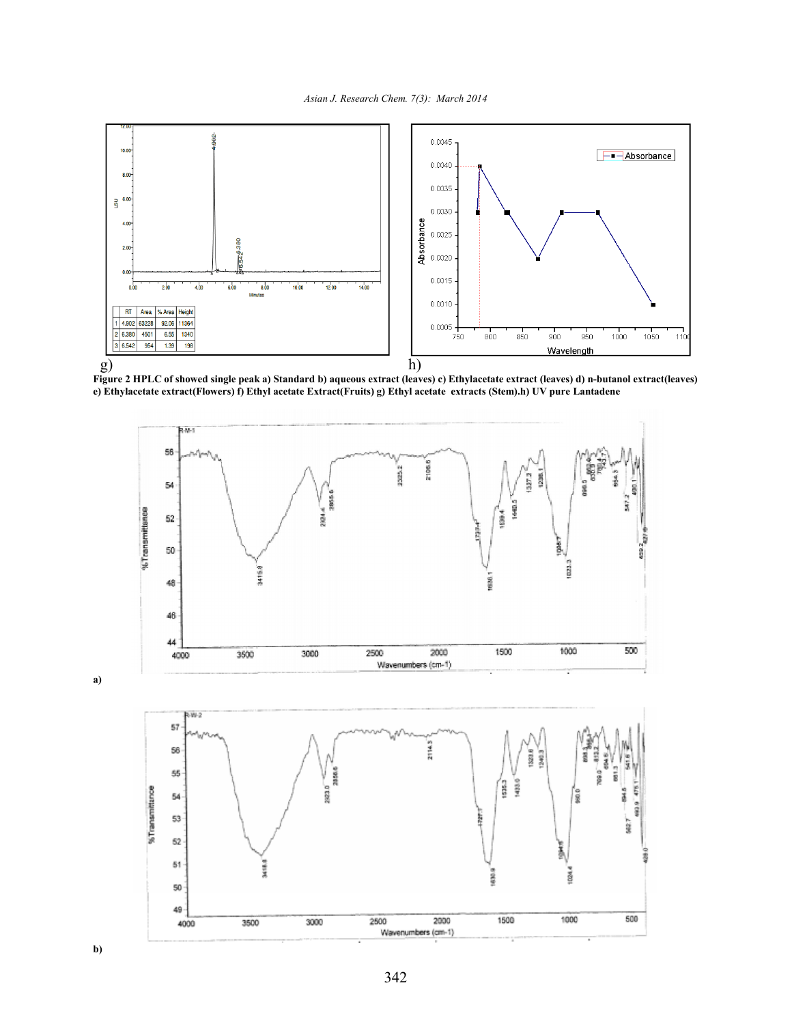

Figure 2 HPLC of showed single peak a) Standard b) aqueous extract (leaves) c) Ethylacetate extract (leaves) d) n-butanol extract(leaves) e) Ethylacetate extract(Flowers) f) Ethyl acetate Extract(Fruits) g) Ethyl acetate extracts (Stem).h) UV pure Lantadene





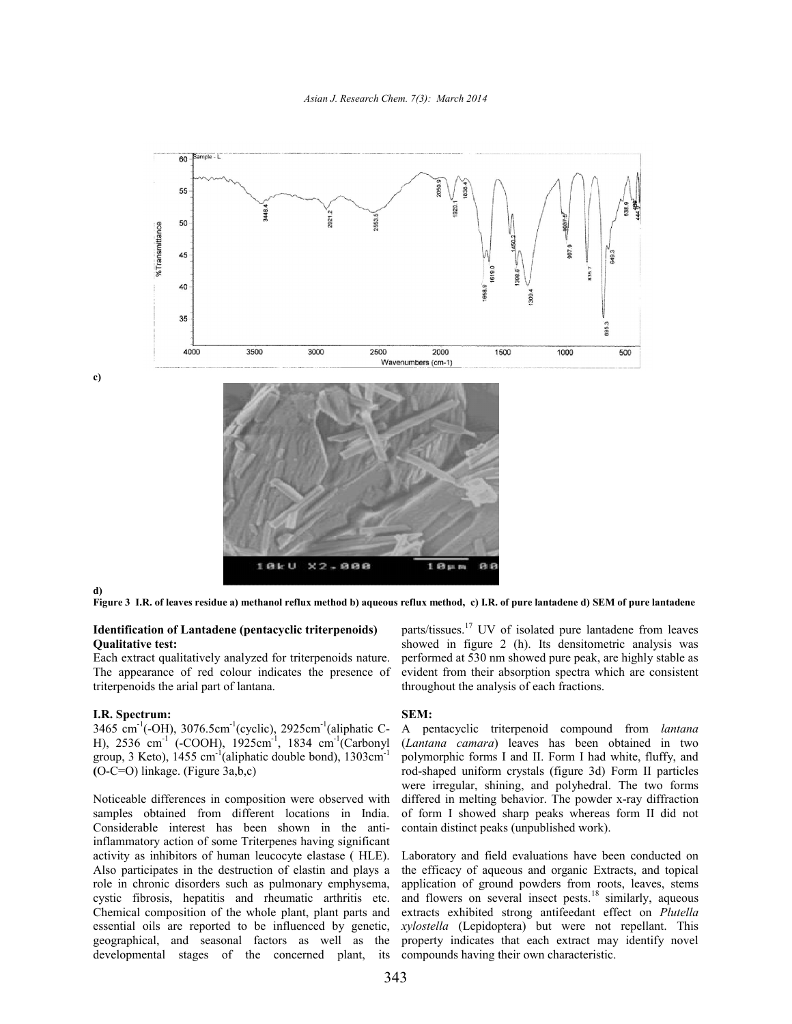

d)

c)

Figure 3 I.R. of leaves residue a) methanol reflux method b) aqueous reflux method, c) I.R. of pure lantadene d) SEM of pure lantadene

#### Identification of Lantadene (pentacyclic triterpenoids) Qualitative test:

Each extract qualitatively analyzed for triterpenoids nature. The appearance of red colour indicates the presence of triterpenoids the arial part of lantana. The appearance of red colour indicates the presence of<br>triterpenoids the arial part of lantana.<br>**I.R. Spectrum:**<br>3465 cm<sup>-1</sup>(-OH), 3076.5cm<sup>-1</sup>(cyclic), 2925cm<sup>-1</sup>(aliphatic C-

#### I.R. Spectrum:

H), 2536 cm<sup>-1</sup> (-COOH), 1925cm<sup>-1</sup>, 1834 cm<sup>-1</sup>(Carbonyl group, 3 Keto),  $1455 \text{ cm}^{-1}$ (aliphatic double bond),  $1303 \text{cm}^{-1}$ (O-C=O) linkage. (Figure 3a,b,c)

Noticeable differences in composition were observed with samples obtained from different locations in India. Considerable interest has been shown in the antiinflammatory action of some Triterpenes having significant activity as inhibitors of human leucocyte elastase ( HLE). Also participates in the destruction of elastin and plays a role in chronic disorders such as pulmonary emphysema, cystic fibrosis, hepatitis and rheumatic arthritis etc. Chemical composition of the whole plant, plant parts and essential oils are reported to be influenced by genetic, geographical, and seasonal factors as well as the developmental stages of the concerned plant, its

showed in figure 2 (h). Its densitometric analysis was performed at 530 nm showed pure peak, are highly stable as evident from their absorption spectra which are consistent throughout the analysis of each fractions. <sup>17</sup> UV of isolated pure lantadene from leaves figure 2 (h). Its densitometric analysis was their absorption spectra which are consistent he analysis of each fractions.<br>
lantanalysis of each fractions.<br>
<br>
<br>
<br>
<br>
<br>

#### SEM:

(**pentacyclic triterpenoids**) parts/tissues.<sup>17</sup> UV of isolated pure lantadene from leaves<br>showed im figure 2 (h). Its densitionentic analysis was<br>upproxed in figure 2 (h). Its densitionentic analysis was<br>lantana.<br>(cyclic A pentacyclic triterpenoid compound from *lantana* (*Lantana camara*) leaves has been obtained in two polymorphic forms I and II. Form I had white, fluffy, and rod-shaped uniform crystals (figure 3d) Form II particles were irregular, shining, and polyhedral. The two forms differed in melting behavior. The powder x-ray diffraction of form I showed sharp peaks whereas form II did not<br>contain distinct peaks (unpublished work).<br>Laboratory and field evaluations have been conducted on contain distinct peaks (unpublished work). (*Lantana camara*) leaves has been obtained in two polymorphic forms I and II. Form I had white, fluffy, and rod-shaped uniform crystals (figure 3d) Form II particles were irregular, shining, and polyhedral. The two forms

Laboratory and field evaluations have been conducted on the efficacy of aqueous and organic Extracts, and topical application of ground powders from roots, leaves, stems the efficacy of aqueous and organic Extracts, and topical application of ground powders from roots, leaves, stems and flowers on several insect pests.<sup>18</sup> similarly, aqueous extracts exhibited strong antifeedant effect on *Plutella xylostella* (Lepidoptera) but were not repellant. This property indicates that each extract may identify novel compounds having their own characteristic. (Lepidoptera) but were not repellant. This indicates that each extract may identify novel is having their own characteristic.